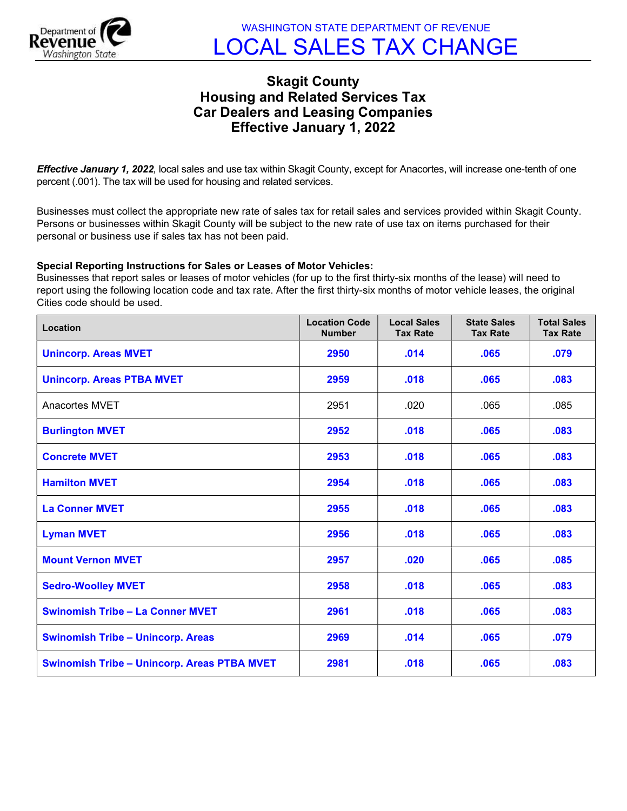

## WASHINGTON STATE DEPARTMENT OF REVENUE LOCAL SALES TAX CHANGE

## Skagit County Housing and Related Services Tax Car Dealers and Leasing Companies Effective January 1, 2022

Effective January 1, 2022, local sales and use tax within Skagit County, except for Anacortes, will increase one-tenth of one percent (.001). The tax will be used for housing and related services.

Businesses must collect the appropriate new rate of sales tax for retail sales and services provided within Skagit County. Persons or businesses within Skagit County will be subject to the new rate of use tax on items purchased for their personal or business use if sales tax has not been paid.

## Special Reporting Instructions for Sales or Leases of Motor Vehicles:

Businesses that report sales or leases of motor vehicles (for up to the first thirty-six months of the lease) will need to report using the following location code and tax rate. After the first thirty-six months of motor vehicle leases, the original Cities code should be used.

| Location                                           | <b>Location Code</b><br><b>Number</b> | <b>Local Sales</b><br><b>Tax Rate</b> | <b>State Sales</b><br><b>Tax Rate</b> | <b>Total Sales</b><br><b>Tax Rate</b> |
|----------------------------------------------------|---------------------------------------|---------------------------------------|---------------------------------------|---------------------------------------|
| <b>Unincorp. Areas MVET</b>                        | 2950                                  | .014                                  | .065                                  | .079                                  |
| <b>Unincorp. Areas PTBA MVET</b>                   | 2959                                  | .018                                  | .065                                  | .083                                  |
| Anacortes MVET                                     | 2951                                  | .020                                  | .065                                  | .085                                  |
| <b>Burlington MVET</b>                             | 2952                                  | .018                                  | .065                                  | .083                                  |
| <b>Concrete MVET</b>                               | 2953                                  | .018                                  | .065                                  | .083                                  |
| <b>Hamilton MVET</b>                               | 2954                                  | .018                                  | .065                                  | .083                                  |
| <b>La Conner MVET</b>                              | 2955                                  | .018                                  | .065                                  | .083                                  |
| <b>Lyman MVET</b>                                  | 2956                                  | .018                                  | .065                                  | .083                                  |
| <b>Mount Vernon MVET</b>                           | 2957                                  | .020                                  | .065                                  | .085                                  |
| <b>Sedro-Woolley MVET</b>                          | 2958                                  | .018                                  | .065                                  | .083                                  |
| <b>Swinomish Tribe - La Conner MVET</b>            | 2961                                  | .018                                  | .065                                  | .083                                  |
| <b>Swinomish Tribe - Unincorp. Areas</b>           | 2969                                  | .014                                  | .065                                  | .079                                  |
| <b>Swinomish Tribe - Unincorp. Areas PTBA MVET</b> | 2981                                  | .018                                  | .065                                  | .083                                  |